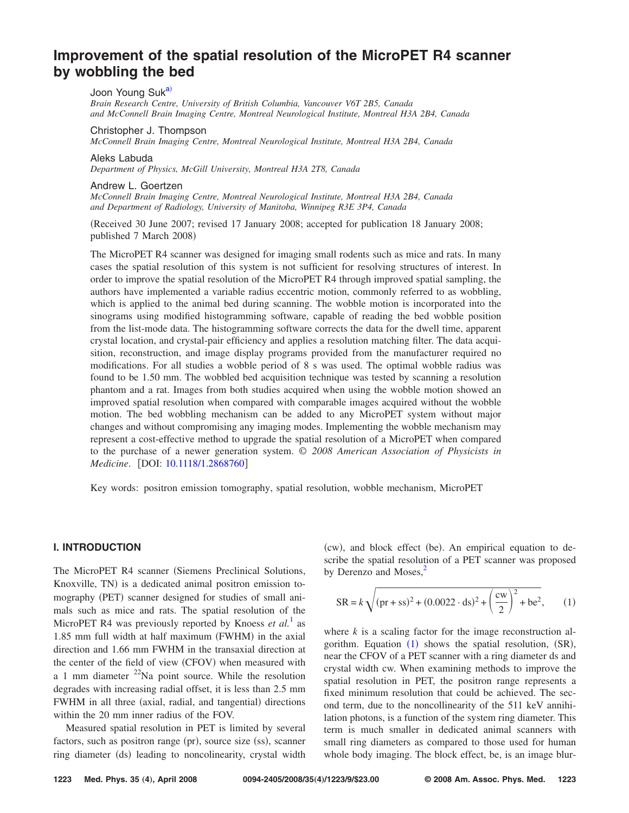# **[Improvement of the spatial resolution of the MicroPET R4 scanner](http://dx.doi.org/10.1118/1.2868760) [by wobbling the bed](http://dx.doi.org/10.1118/1.2868760)**

Joon Young Suk<sup>a)</sup>

*Brain Research Centre, University of British Columbia, Vancouver V6T 2B5, Canada and McConnell Brain Imaging Centre, Montreal Neurological Institute, Montreal H3A 2B4, Canada*

Christopher J. Thompson

*McConnell Brain Imaging Centre, Montreal Neurological Institute, Montreal H3A 2B4, Canada*

Aleks Labuda

*Department of Physics, McGill University, Montreal H3A 2T8, Canada*

### Andrew L. Goertzen

*McConnell Brain Imaging Centre, Montreal Neurological Institute, Montreal H3A 2B4, Canada and Department of Radiology, University of Manitoba, Winnipeg R3E 3P4, Canada*

Received 30 June 2007; revised 17 January 2008; accepted for publication 18 January 2008; published 7 March 2008)

The MicroPET R4 scanner was designed for imaging small rodents such as mice and rats. In many cases the spatial resolution of this system is not sufficient for resolving structures of interest. In order to improve the spatial resolution of the MicroPET R4 through improved spatial sampling, the authors have implemented a variable radius eccentric motion, commonly referred to as wobbling, which is applied to the animal bed during scanning. The wobble motion is incorporated into the sinograms using modified histogramming software, capable of reading the bed wobble position from the list-mode data. The histogramming software corrects the data for the dwell time, apparent crystal location, and crystal-pair efficiency and applies a resolution matching filter. The data acquisition, reconstruction, and image display programs provided from the manufacturer required no modifications. For all studies a wobble period of 8 s was used. The optimal wobble radius was found to be 1.50 mm. The wobbled bed acquisition technique was tested by scanning a resolution phantom and a rat. Images from both studies acquired when using the wobble motion showed an improved spatial resolution when compared with comparable images acquired without the wobble motion. The bed wobbling mechanism can be added to any MicroPET system without major changes and without compromising any imaging modes. Implementing the wobble mechanism may represent a cost-effective method to upgrade the spatial resolution of a MicroPET when compared to the purchase of a newer generation system. © *2008 American Association of Physicists in Medicine.* [DOI: [10.1118/1.2868760](http://dx.doi.org/10.1118/1.2868760)]

Key words: positron emission tomography, spatial resolution, wobble mechanism, MicroPET

# **I. INTRODUCTION**

The MicroPET R4 scanner (Siemens Preclinical Solutions, Knoxville, TN) is a dedicated animal positron emission tomography (PET) scanner designed for studies of small animals such as mice and rats. The spatial resolution of the MicroPET R4 was previously reported by Knoess *et al.*<sup>[1](#page-8-1)</sup> as 1.85 mm full width at half maximum (FWHM) in the axial direction and 1.66 mm FWHM in the transaxial direction at the center of the field of view (CFOV) when measured with a 1 mm diameter  $22$ Na point source. While the resolution degrades with increasing radial offset, it is less than 2.5 mm FWHM in all three (axial, radial, and tangential) directions within the 20 mm inner radius of the FOV.

Measured spatial resolution in PET is limited by several factors, such as positron range (pr), source size (ss), scanner ring diameter (ds) leading to noncolinearity, crystal width

(cw), and block effect (be). An empirical equation to describe the spatial resolution of a PET scanner was proposed by Derenzo and Moses,<sup>2</sup>

<span id="page-0-0"></span>
$$
SR = k \sqrt{(pr + ss)^2 + (0.0022 \cdot ds)^2 + \left(\frac{cw}{2}\right)^2 + be^2},
$$
 (1)

where *k* is a scaling factor for the image reconstruction al-gorithm. Equation ([1](#page-0-0)) shows the spatial resolution, (SR), near the CFOV of a PET scanner with a ring diameter ds and crystal width cw. When examining methods to improve the spatial resolution in PET, the positron range represents a fixed minimum resolution that could be achieved. The second term, due to the noncollinearity of the 511 keV annihilation photons, is a function of the system ring diameter. This term is much smaller in dedicated animal scanners with small ring diameters as compared to those used for human whole body imaging. The block effect, be, is an image blur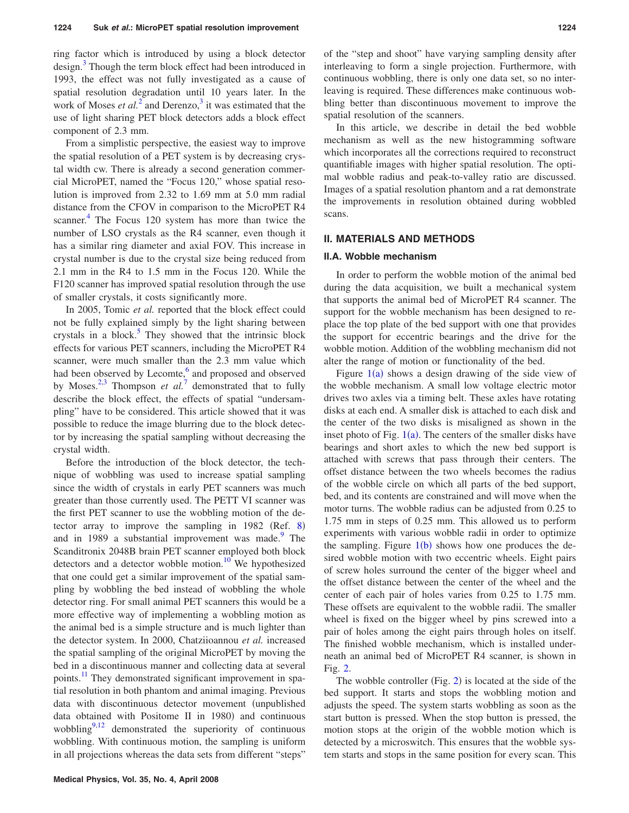ring factor which is introduced by using a block detector design.<sup>3</sup> Though the term block effect had been introduced in 1993, the effect was not fully investigated as a cause of spatial resolution degradation until 10 years later. In the work of Moses *et al.*<sup>[2](#page-8-2)</sup> and Derenzo,<sup>3</sup> it was estimated that the use of light sharing PET block detectors adds a block effect component of 2.3 mm.

From a simplistic perspective, the easiest way to improve the spatial resolution of a PET system is by decreasing crystal width cw. There is already a second generation commercial MicroPET, named the "Focus 120," whose spatial resolution is improved from 2.32 to 1.69 mm at 5.0 mm radial distance from the CFOV in comparison to the MicroPET R4 scanner.<sup>[4](#page-8-0)</sup> The Focus 120 system has more than twice the number of LSO crystals as the R4 scanner, even though it has a similar ring diameter and axial FOV. This increase in crystal number is due to the crystal size being reduced from 2.1 mm in the R4 to 1.5 mm in the Focus 120. While the F120 scanner has improved spatial resolution through the use of smaller crystals, it costs significantly more.

In 2005, Tomic *et al.* reported that the block effect could not be fully explained simply by the light sharing between crystals in a block.<sup>5</sup> They showed that the intrinsic block effects for various PET scanners, including the MicroPET R4 scanner, were much smaller than the 2.3 mm value which had been observed by Lecomte, $6 \text{ and proposed}$  and observed by Moses[.2,](#page-8-2)[3](#page-8-3) Thompson *et al.*[7](#page-8-6) demonstrated that to fully describe the block effect, the effects of spatial "undersampling" have to be considered. This article showed that it was possible to reduce the image blurring due to the block detector by increasing the spatial sampling without decreasing the crystal width.

Before the introduction of the block detector, the technique of wobbling was used to increase spatial sampling since the width of crystals in early PET scanners was much greater than those currently used. The PETT VI scanner was the first PET scanner to use the wobbling motion of the de-tector array to improve the sampling in 19[8](#page-8-7)2 (Ref. 8) and in 1989 a substantial improvement was made. $9$  The Scanditronix 2048B brain PET scanner employed both block detectors and a detector wobble motion.<sup>10</sup> We hypothesized that one could get a similar improvement of the spatial sampling by wobbling the bed instead of wobbling the whole detector ring. For small animal PET scanners this would be a more effective way of implementing a wobbling motion as the animal bed is a simple structure and is much lighter than the detector system. In 2000, Chatziioannou *et al.* increased the spatial sampling of the original MicroPET by moving the bed in a discontinuous manner and collecting data at several points.<sup>11</sup> They demonstrated significant improvement in spatial resolution in both phantom and animal imaging. Previous data with discontinuous detector movement (unpublished data obtained with Positome II in 1980) and continuous wobbling $9,12$  $9,12$  demonstrated the superiority of continuous wobbling. With continuous motion, the sampling is uniform in all projections whereas the data sets from different "steps" of the "step and shoot" have varying sampling density after interleaving to form a single projection. Furthermore, with continuous wobbling, there is only one data set, so no interleaving is required. These differences make continuous wobbling better than discontinuous movement to improve the spatial resolution of the scanners.

In this article, we describe in detail the bed wobble mechanism as well as the new histogramming software which incorporates all the corrections required to reconstruct quantifiable images with higher spatial resolution. The optimal wobble radius and peak-to-valley ratio are discussed. Images of a spatial resolution phantom and a rat demonstrate the improvements in resolution obtained during wobbled scans.

# **II. MATERIALS AND METHODS**

#### **II.A. Wobble mechanism**

In order to perform the wobble motion of the animal bed during the data acquisition, we built a mechanical system that supports the animal bed of MicroPET R4 scanner. The support for the wobble mechanism has been designed to replace the top plate of the bed support with one that provides the support for eccentric bearings and the drive for the wobble motion. Addition of the wobbling mechanism did not alter the range of motion or functionality of the bed.

Figure  $1(a)$  $1(a)$  shows a design drawing of the side view of the wobble mechanism. A small low voltage electric motor drives two axles via a timing belt. These axles have rotating disks at each end. A smaller disk is attached to each disk and the center of the two disks is misaligned as shown in the inset photo of Fig.  $1(a)$  $1(a)$ . The centers of the smaller disks have bearings and short axles to which the new bed support is attached with screws that pass through their centers. The offset distance between the two wheels becomes the radius of the wobble circle on which all parts of the bed support, bed, and its contents are constrained and will move when the motor turns. The wobble radius can be adjusted from 0.25 to 1.75 mm in steps of 0.25 mm. This allowed us to perform experiments with various wobble radii in order to optimize the sampling. Figure  $1(b)$  $1(b)$  shows how one produces the desired wobble motion with two eccentric wheels. Eight pairs of screw holes surround the center of the bigger wheel and the offset distance between the center of the wheel and the center of each pair of holes varies from 0.25 to 1.75 mm. These offsets are equivalent to the wobble radii. The smaller wheel is fixed on the bigger wheel by pins screwed into a pair of holes among the eight pairs through holes on itself. The finished wobble mechanism, which is installed underneath an animal bed of MicroPET R4 scanner, is shown in Fig. [2.](#page-3-0)

The wobble controller (Fig.  $2$ ) is located at the side of the bed support. It starts and stops the wobbling motion and adjusts the speed. The system starts wobbling as soon as the start button is pressed. When the stop button is pressed, the motion stops at the origin of the wobble motion which is detected by a microswitch. This ensures that the wobble system starts and stops in the same position for every scan. This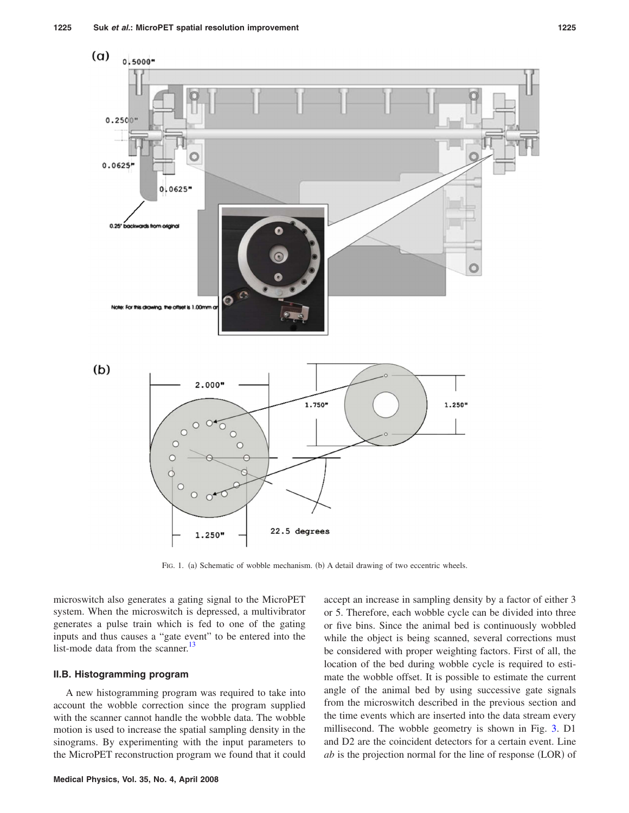<span id="page-2-0"></span>

FIG. 1. (a) Schematic of wobble mechanism. (b) A detail drawing of two eccentric wheels.

microswitch also generates a gating signal to the MicroPET system. When the microswitch is depressed, a multivibrator generates a pulse train which is fed to one of the gating inputs and thus causes a "gate event" to be entered into the list-mode data from the scanner. $^{13}$ 

### **II.B. Histogramming program**

A new histogramming program was required to take into account the wobble correction since the program supplied with the scanner cannot handle the wobble data. The wobble motion is used to increase the spatial sampling density in the sinograms. By experimenting with the input parameters to the MicroPET reconstruction program we found that it could

accept an increase in sampling density by a factor of either 3 or 5. Therefore, each wobble cycle can be divided into three or five bins. Since the animal bed is continuously wobbled while the object is being scanned, several corrections must be considered with proper weighting factors. First of all, the location of the bed during wobble cycle is required to estimate the wobble offset. It is possible to estimate the current angle of the animal bed by using successive gate signals from the microswitch described in the previous section and the time events which are inserted into the data stream every millisecond. The wobble geometry is shown in Fig. [3.](#page-3-1) D1 and D2 are the coincident detectors for a certain event. Line ab is the projection normal for the line of response (LOR) of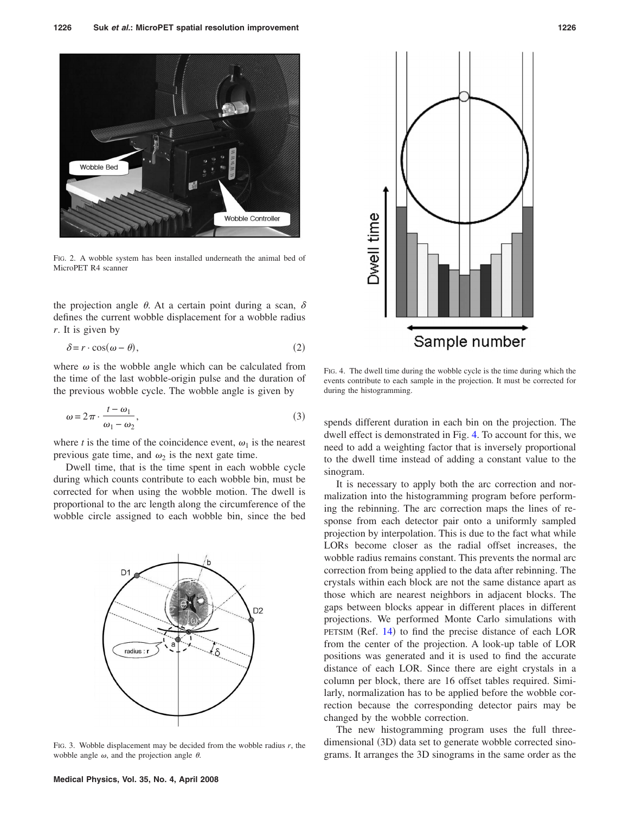<span id="page-3-0"></span>

FIG. 2. A wobble system has been installed underneath the animal bed of MicroPET R4 scanner

the projection angle  $\theta$ . At a certain point during a scan,  $\delta$ defines the current wobble displacement for a wobble radius *r*. It is given by

$$
\delta = r \cdot \cos(\omega - \theta),\tag{2}
$$

where  $\omega$  is the wobble angle which can be calculated from the time of the last wobble-origin pulse and the duration of the previous wobble cycle. The wobble angle is given by

$$
\omega = 2\pi \cdot \frac{t - \omega_1}{\omega_1 - \omega_2},\tag{3}
$$

where *t* is the time of the coincidence event,  $\omega_1$  is the nearest previous gate time, and  $\omega_2$  is the next gate time.

Dwell time, that is the time spent in each wobble cycle during which counts contribute to each wobble bin, must be corrected for when using the wobble motion. The dwell is proportional to the arc length along the circumference of the wobble circle assigned to each wobble bin, since the bed

<span id="page-3-1"></span>

FIG. 3. Wobble displacement may be decided from the wobble radius *r*, the wobble angle  $\omega$ , and the projection angle  $\theta$ .

<span id="page-3-2"></span>

FIG. 4. The dwell time during the wobble cycle is the time during which the events contribute to each sample in the projection. It must be corrected for during the histogramming.

spends different duration in each bin on the projection. The dwell effect is demonstrated in Fig. [4.](#page-3-2) To account for this, we need to add a weighting factor that is inversely proportional to the dwell time instead of adding a constant value to the sinogram.

It is necessary to apply both the arc correction and normalization into the histogramming program before performing the rebinning. The arc correction maps the lines of response from each detector pair onto a uniformly sampled projection by interpolation. This is due to the fact what while LORs become closer as the radial offset increases, the wobble radius remains constant. This prevents the normal arc correction from being applied to the data after rebinning. The crystals within each block are not the same distance apart as those which are nearest neighbors in adjacent blocks. The gaps between blocks appear in different places in different projections. We performed Monte Carlo simulations with PETSIM (Ref. [14](#page-8-13)) to find the precise distance of each LOR from the center of the projection. A look-up table of LOR positions was generated and it is used to find the accurate distance of each LOR. Since there are eight crystals in a column per block, there are 16 offset tables required. Similarly, normalization has to be applied before the wobble correction because the corresponding detector pairs may be changed by the wobble correction.

The new histogramming program uses the full threedimensional (3D) data set to generate wobble corrected sinograms. It arranges the 3D sinograms in the same order as the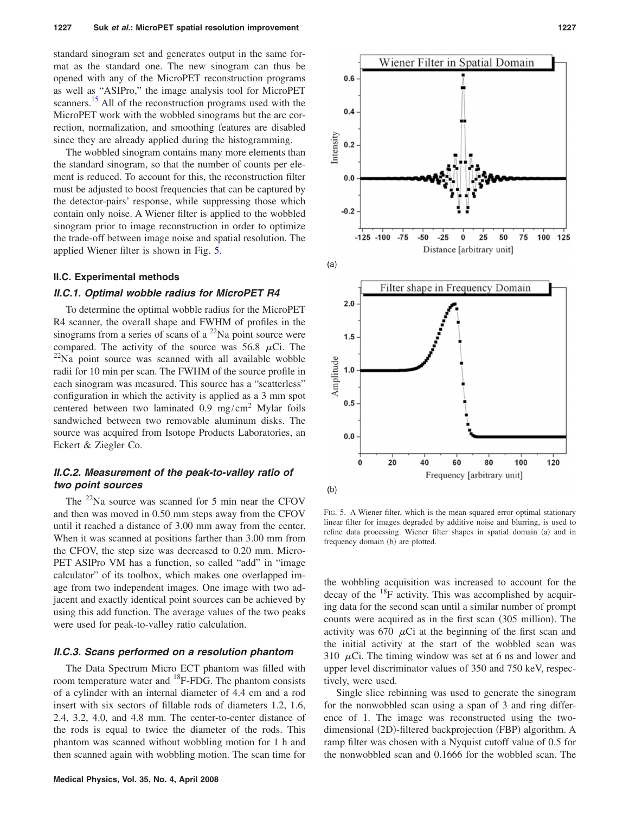standard sinogram set and generates output in the same format as the standard one. The new sinogram can thus be opened with any of the MicroPET reconstruction programs as well as "ASIPro," the image analysis tool for MicroPET scanners.<sup>[15](#page-8-14)</sup> All of the reconstruction programs used with the MicroPET work with the wobbled sinograms but the arc correction, normalization, and smoothing features are disabled since they are already applied during the histogramming.

The wobbled sinogram contains many more elements than the standard sinogram, so that the number of counts per element is reduced. To account for this, the reconstruction filter must be adjusted to boost frequencies that can be captured by the detector-pairs' response, while suppressing those which contain only noise. A Wiener filter is applied to the wobbled sinogram prior to image reconstruction in order to optimize the trade-off between image noise and spatial resolution. The applied Wiener filter is shown in Fig. [5.](#page-4-0)

### **II.C. Experimental methods**

# *II.C.1. Optimal wobble radius for MicroPET R4*

To determine the optimal wobble radius for the MicroPET R4 scanner, the overall shape and FWHM of profiles in the sinograms from a series of scans of a  $^{22}$ Na point source were compared. The activity of the source was 56.8  $\mu$ Ci. The  $22$ Na point source was scanned with all available wobble radii for 10 min per scan. The FWHM of the source profile in each sinogram was measured. This source has a "scatterless" configuration in which the activity is applied as a 3 mm spot centered between two laminated  $0.9 \text{ mg/cm}^2$  Mylar foils sandwiched between two removable aluminum disks. The source was acquired from Isotope Products Laboratories, an Eckert & Ziegler Co.

# *II.C.2. Measurement of the peak-to-valley ratio of two point sources*

The <sup>22</sup>Na source was scanned for 5 min near the CFOV and then was moved in 0.50 mm steps away from the CFOV until it reached a distance of 3.00 mm away from the center. When it was scanned at positions farther than 3.00 mm from the CFOV, the step size was decreased to 0.20 mm. Micro-PET ASIPro VM has a function, so called "add" in "image calculator" of its toolbox, which makes one overlapped image from two independent images. One image with two adjacent and exactly identical point sources can be achieved by using this add function. The average values of the two peaks were used for peak-to-valley ratio calculation.

### *II.C.3. Scans performed on a resolution phantom*

The Data Spectrum Micro ECT phantom was filled with room temperature water and <sup>18</sup>F-FDG. The phantom consists of a cylinder with an internal diameter of 4.4 cm and a rod insert with six sectors of fillable rods of diameters 1.2, 1.6, 2.4, 3.2, 4.0, and 4.8 mm. The center-to-center distance of the rods is equal to twice the diameter of the rods. This phantom was scanned without wobbling motion for 1 h and then scanned again with wobbling motion. The scan time for



<span id="page-4-0"></span>

FIG. 5. A Wiener filter, which is the mean-squared error-optimal stationary linear filter for images degraded by additive noise and blurring, is used to refine data processing. Wiener filter shapes in spatial domain (a) and in frequency domain (b) are plotted.

the wobbling acquisition was increased to account for the decay of the  $^{18}$ F activity. This was accomplished by acquiring data for the second scan until a similar number of prompt counts were acquired as in the first scan (305 million). The activity was 670  $\mu$ Ci at the beginning of the first scan and the initial activity at the start of the wobbled scan was 310  $\mu$ Ci. The timing window was set at 6 ns and lower and upper level discriminator values of 350 and 750 keV, respectively, were used.

Single slice rebinning was used to generate the sinogram for the nonwobbled scan using a span of 3 and ring difference of 1. The image was reconstructed using the twodimensional (2D)-filtered backprojection (FBP) algorithm. A ramp filter was chosen with a Nyquist cutoff value of 0.5 for the nonwobbled scan and 0.1666 for the wobbled scan. The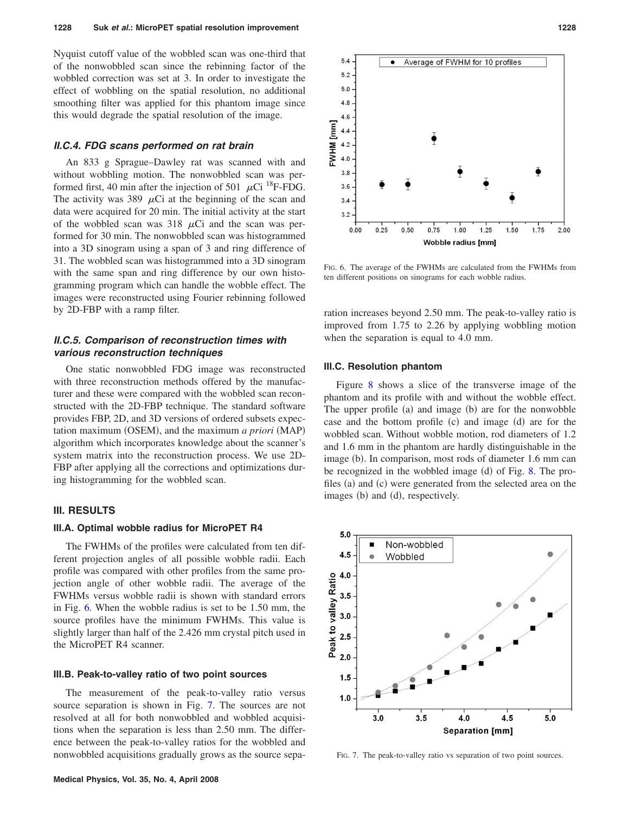Nyquist cutoff value of the wobbled scan was one-third that of the nonwobbled scan since the rebinning factor of the wobbled correction was set at 3. In order to investigate the effect of wobbling on the spatial resolution, no additional smoothing filter was applied for this phantom image since this would degrade the spatial resolution of the image.

### *II.C.4. FDG scans performed on rat brain*

An 833 g Sprague–Dawley rat was scanned with and without wobbling motion. The nonwobbled scan was performed first, 40 min after the injection of 501  $\mu$ Ci <sup>18</sup>F-FDG. The activity was 389  $\mu$ Ci at the beginning of the scan and data were acquired for 20 min. The initial activity at the start of the wobbled scan was 318  $\mu$ Ci and the scan was performed for 30 min. The nonwobbled scan was histogrammed into a 3D sinogram using a span of 3 and ring difference of 31. The wobbled scan was histogrammed into a 3D sinogram with the same span and ring difference by our own histogramming program which can handle the wobble effect. The images were reconstructed using Fourier rebinning followed by 2D-FBP with a ramp filter.

# *II.C.5. Comparison of reconstruction times with various reconstruction techniques*

One static nonwobbled FDG image was reconstructed with three reconstruction methods offered by the manufacturer and these were compared with the wobbled scan reconstructed with the 2D-FBP technique. The standard software provides FBP, 2D, and 3D versions of ordered subsets expectation maximum (OSEM), and the maximum *a priori* (MAP) algorithm which incorporates knowledge about the scanner's system matrix into the reconstruction process. We use 2D-FBP after applying all the corrections and optimizations during histogramming for the wobbled scan.

# **III. RESULTS**

#### **III.A. Optimal wobble radius for MicroPET R4**

The FWHMs of the profiles were calculated from ten different projection angles of all possible wobble radii. Each profile was compared with other profiles from the same projection angle of other wobble radii. The average of the FWHMs versus wobble radii is shown with standard errors in Fig. [6.](#page-5-0) When the wobble radius is set to be 1.50 mm, the source profiles have the minimum FWHMs. This value is slightly larger than half of the 2.426 mm crystal pitch used in the MicroPET R4 scanner.

### **III.B. Peak-to-valley ratio of two point sources**

The measurement of the peak-to-valley ratio versus source separation is shown in Fig. [7.](#page-5-1) The sources are not resolved at all for both nonwobbled and wobbled acquisitions when the separation is less than 2.50 mm. The difference between the peak-to-valley ratios for the wobbled and nonwobbled acquisitions gradually grows as the source sepa-

<span id="page-5-0"></span>

FIG. 6. The average of the FWHMs are calculated from the FWHMs from ten different positions on sinograms for each wobble radius.

ration increases beyond 2.50 mm. The peak-to-valley ratio is improved from 1.75 to 2.26 by applying wobbling motion when the separation is equal to 4.0 mm.

### **III.C. Resolution phantom**

Figure [8](#page-6-0) shows a slice of the transverse image of the phantom and its profile with and without the wobble effect. The upper profile (a) and image (b) are for the nonwobble case and the bottom profile (c) and image (d) are for the wobbled scan. Without wobble motion, rod diameters of 1.2 and 1.6 mm in the phantom are hardly distinguishable in the image (b). In comparison, most rods of diameter 1.6 mm can be recognized in the wobbled image (d) of Fig. [8.](#page-6-0) The profiles (a) and (c) were generated from the selected area on the images (b) and (d), respectively.

<span id="page-5-1"></span>

FIG. 7. The peak-to-valley ratio vs separation of two point sources.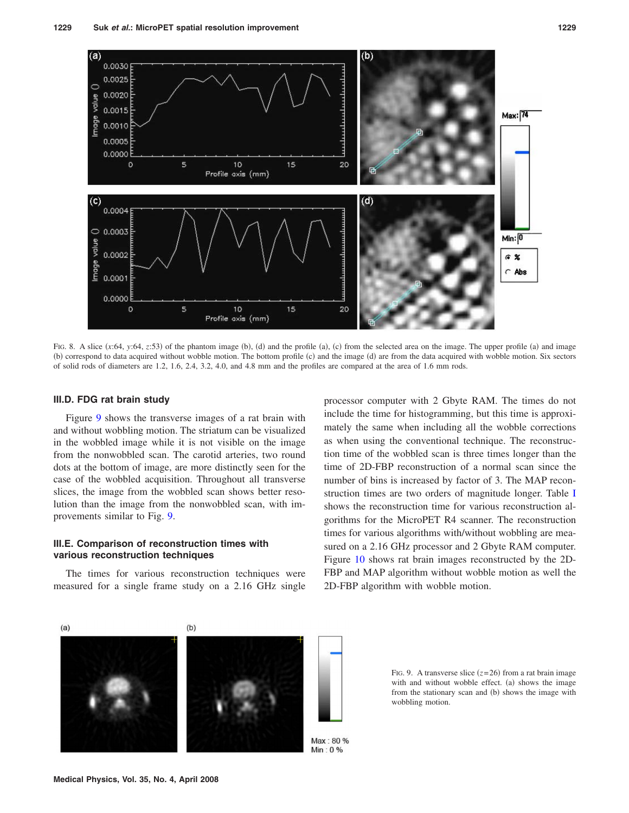<span id="page-6-0"></span>

FIG. 8. A slice (x:64, y:64, z:53) of the phantom image (b), (d) and the profile (a), (c) from the selected area on the image. The upper profile (a) and image (b) correspond to data acquired without wobble motion. The bottom profile (c) and the image (d) are from the data acquired with wobble motion. Six sectors of solid rods of diameters are 1.2, 1.6, 2.4, 3.2, 4.0, and 4.8 mm and the profiles are compared at the area of 1.6 mm rods.

### **III.D. FDG rat brain study**

Figure [9](#page-6-1) shows the transverse images of a rat brain with and without wobbling motion. The striatum can be visualized in the wobbled image while it is not visible on the image from the nonwobbled scan. The carotid arteries, two round dots at the bottom of image, are more distinctly seen for the case of the wobbled acquisition. Throughout all transverse slices, the image from the wobbled scan shows better resolution than the image from the nonwobbled scan, with improvements similar to Fig. [9.](#page-6-1)

### **III.E. Comparison of reconstruction times with various reconstruction techniques**

The times for various reconstruction techniques were measured for a single frame study on a 2.16 GHz single processor computer with 2 Gbyte RAM. The times do not include the time for histogramming, but this time is approximately the same when including all the wobble corrections as when using the conventional technique. The reconstruction time of the wobbled scan is three times longer than the time of 2D-FBP reconstruction of a normal scan since the number of bins is increased by factor of 3. The MAP reconstruction times are two orders of magnitude longer. Table [I](#page-7-0) shows the reconstruction time for various reconstruction algorithms for the MicroPET R4 scanner. The reconstruction times for various algorithms with/without wobbling are measured on a 2.16 GHz processor and 2 Gbyte RAM computer. Figure [10](#page-7-1) shows rat brain images reconstructed by the 2D-FBP and MAP algorithm without wobble motion as well the 2D-FBP algorithm with wobble motion.

<span id="page-6-1"></span>

FIG. 9. A transverse slice  $(z=26)$  from a rat brain image with and without wobble effect. (a) shows the image from the stationary scan and (b) shows the image with wobbling motion.

Min: 0 %

**Medical Physics, Vol. 35, No. 4, April 2008**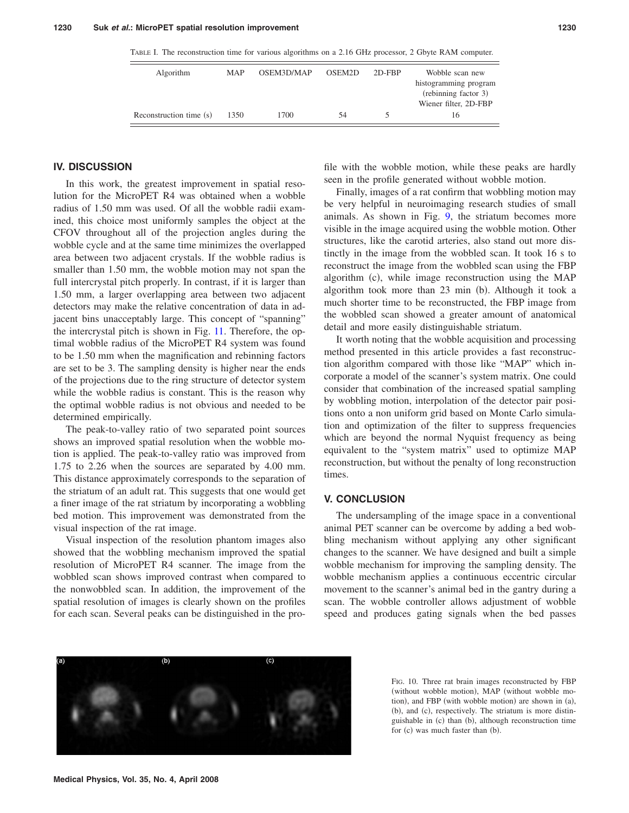<span id="page-7-0"></span>TABLE I. The reconstruction time for various algorithms on a 2.16 GHz processor, 2 Gbyte RAM computer.

| Algorithm               | MAP  | OSEM3D/MAP | OSEM <sub>2</sub> D | 2D-FBP | Wobble scan new<br>histogramming program<br>(rebinning factor 3)<br>Wiener filter, 2D-FBP |
|-------------------------|------|------------|---------------------|--------|-------------------------------------------------------------------------------------------|
| Reconstruction time (s) | 1350 | 1700       | 54                  |        | 16                                                                                        |

# **IV. DISCUSSION**

In this work, the greatest improvement in spatial resolution for the MicroPET R4 was obtained when a wobble radius of 1.50 mm was used. Of all the wobble radii examined, this choice most uniformly samples the object at the CFOV throughout all of the projection angles during the wobble cycle and at the same time minimizes the overlapped area between two adjacent crystals. If the wobble radius is smaller than 1.50 mm, the wobble motion may not span the full intercrystal pitch properly. In contrast, if it is larger than 1.50 mm, a larger overlapping area between two adjacent detectors may make the relative concentration of data in adjacent bins unacceptably large. This concept of "spanning" the intercrystal pitch is shown in Fig. [11.](#page-8-15) Therefore, the optimal wobble radius of the MicroPET R4 system was found to be 1.50 mm when the magnification and rebinning factors are set to be 3. The sampling density is higher near the ends of the projections due to the ring structure of detector system while the wobble radius is constant. This is the reason why the optimal wobble radius is not obvious and needed to be determined empirically.

The peak-to-valley ratio of two separated point sources shows an improved spatial resolution when the wobble motion is applied. The peak-to-valley ratio was improved from 1.75 to 2.26 when the sources are separated by 4.00 mm. This distance approximately corresponds to the separation of the striatum of an adult rat. This suggests that one would get a finer image of the rat striatum by incorporating a wobbling bed motion. This improvement was demonstrated from the visual inspection of the rat image.

Visual inspection of the resolution phantom images also showed that the wobbling mechanism improved the spatial resolution of MicroPET R4 scanner. The image from the wobbled scan shows improved contrast when compared to the nonwobbled scan. In addition, the improvement of the spatial resolution of images is clearly shown on the profiles for each scan. Several peaks can be distinguished in the pro-

file with the wobble motion, while these peaks are hardly seen in the profile generated without wobble motion.

Finally, images of a rat confirm that wobbling motion may be very helpful in neuroimaging research studies of small animals. As shown in Fig. [9,](#page-6-1) the striatum becomes more visible in the image acquired using the wobble motion. Other structures, like the carotid arteries, also stand out more distinctly in the image from the wobbled scan. It took 16 s to reconstruct the image from the wobbled scan using the FBP algorithm (c), while image reconstruction using the MAP algorithm took more than 23 min (b). Although it took a much shorter time to be reconstructed, the FBP image from the wobbled scan showed a greater amount of anatomical detail and more easily distinguishable striatum.

It worth noting that the wobble acquisition and processing method presented in this article provides a fast reconstruction algorithm compared with those like "MAP" which incorporate a model of the scanner's system matrix. One could consider that combination of the increased spatial sampling by wobbling motion, interpolation of the detector pair positions onto a non uniform grid based on Monte Carlo simulation and optimization of the filter to suppress frequencies which are beyond the normal Nyquist frequency as being equivalent to the "system matrix" used to optimize MAP reconstruction, but without the penalty of long reconstruction times.

### **V. CONCLUSION**

The undersampling of the image space in a conventional animal PET scanner can be overcome by adding a bed wobbling mechanism without applying any other significant changes to the scanner. We have designed and built a simple wobble mechanism for improving the sampling density. The wobble mechanism applies a continuous eccentric circular movement to the scanner's animal bed in the gantry during a scan. The wobble controller allows adjustment of wobble speed and produces gating signals when the bed passes

<span id="page-7-1"></span>

FIG. 10. Three rat brain images reconstructed by FBP (without wobble motion), MAP (without wobble motion), and FBP (with wobble motion) are shown in (a), (b), and (c), respectively. The striatum is more distinguishable in (c) than (b), although reconstruction time for (c) was much faster than (b).

**Medical Physics, Vol. 35, No. 4, April 2008**